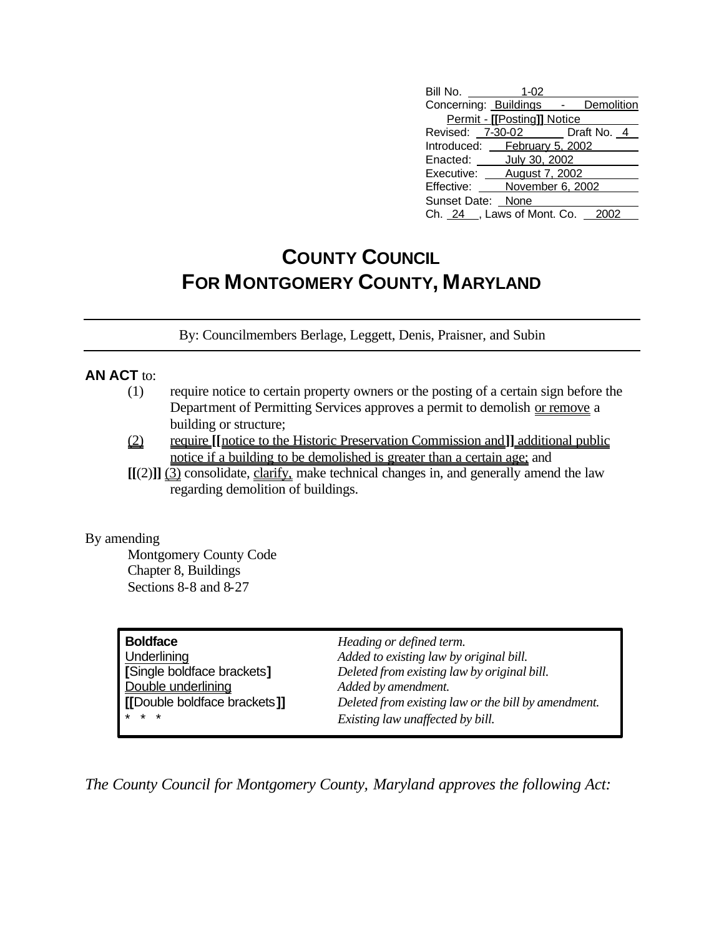| Bill No.                        | $1 - 02$                    |            |  |
|---------------------------------|-----------------------------|------------|--|
| Concerning: Buildings -         |                             | Demolition |  |
|                                 | Permit - [[Posting]] Notice |            |  |
| Revised: 7-30-02 Draft No. 4    |                             |            |  |
| Introduced: February 5, 2002    |                             |            |  |
| Enacted: July 30, 2002          |                             |            |  |
| Executive: ____ August 7, 2002  |                             |            |  |
| Effective: _____                | November 6, 2002            |            |  |
| Sunset Date: None               |                             |            |  |
| Ch. 24 , Laws of Mont. Co. 2002 |                             |            |  |

## **COUNTY COUNCIL FOR MONTGOMERY COUNTY, MARYLAND**

By: Councilmembers Berlage, Leggett, Denis, Praisner, and Subin

## **AN ACT** to:

- (1) require notice to certain property owners or the posting of a certain sign before the Department of Permitting Services approves a permit to demolish or remove a building or structure;
- (2) require **[[**notice to the Historic Preservation Commission and**]]** additional public notice if a building to be demolished is greater than a certain age; and
- **[[**(2)**]]** (3) consolidate, clarify, make technical changes in, and generally amend the law regarding demolition of buildings.

## By amending

Montgomery County Code Chapter 8, Buildings Sections 8-8 and 8-27

| <b>Boldface</b>              | Heading or defined term.                            |
|------------------------------|-----------------------------------------------------|
| Underlining                  | Added to existing law by original bill.             |
| [Single boldface brackets]   | Deleted from existing law by original bill.         |
| Double underlining           | Added by amendment.                                 |
| [[Double boldface brackets]] | Deleted from existing law or the bill by amendment. |
| $* * *$                      | Existing law unaffected by bill.                    |

*The County Council for Montgomery County, Maryland approves the following Act:*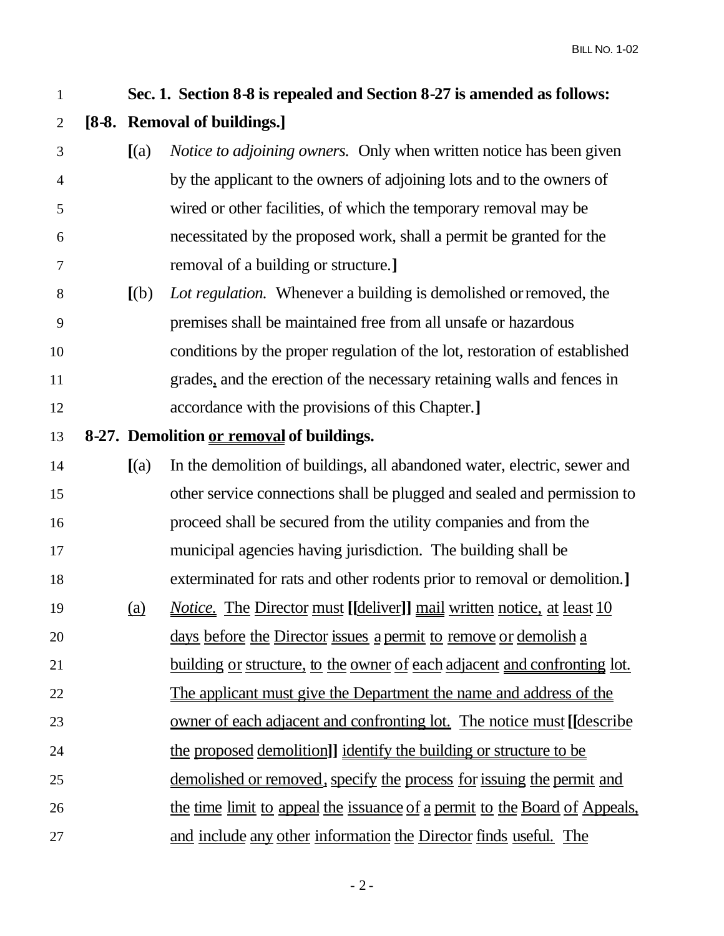| $\mathbf{1}$   |            | Sec. 1. Section 8-8 is repealed and Section 8-27 is amended as follows:                |
|----------------|------------|----------------------------------------------------------------------------------------|
| $\overline{2}$ |            | [8-8. Removal of buildings.]                                                           |
| 3              | (a)        | <i>Notice to adjoining owners.</i> Only when written notice has been given             |
| $\overline{4}$ |            | by the applicant to the owners of adjoining lots and to the owners of                  |
| 5              |            | wired or other facilities, of which the temporary removal may be                       |
| 6              |            | necessitated by the proposed work, shall a permit be granted for the                   |
| 7              |            | removal of a building or structure.]                                                   |
| $8\,$          | [(b)]      | Lot regulation. Whenever a building is demolished or removed, the                      |
| 9              |            | premises shall be maintained free from all unsafe or hazardous                         |
| 10             |            | conditions by the proper regulation of the lot, restoration of established             |
| 11             |            | grades, and the erection of the necessary retaining walls and fences in                |
| 12             |            | accordance with the provisions of this Chapter.]                                       |
| 13             |            | 8-27. Demolition or removal of buildings.                                              |
| 14             | (a)        | In the demolition of buildings, all abandoned water, electric, sewer and               |
| 15             |            | other service connections shall be plugged and sealed and permission to                |
| 16             |            | proceed shall be secured from the utility companies and from the                       |
| 17             |            | municipal agencies having jurisdiction. The building shall be                          |
| 18             |            | exterminated for rats and other rodents prior to removal or demolition.]               |
| 19             | <u>(a)</u> | <i>Notice.</i> The Director must [[deliver]] mail written notice, at least 10          |
| 20             |            | days before the Director issues a permit to remove or demolish a                       |
| 21             |            | <u>building or structure, to the owner of each adjacent and confronting lot.</u>       |
| 22             |            | The applicant must give the Department the name and address of the                     |
| 23             |            | <u>owner of each adjacent and confronting lot. The notice must</u> [ <i>describe</i> ] |
| 24             |            | the proposed demolition]] identify the building or structure to be                     |
| 25             |            | <u>demolished or removed, specify the process for issuing the permit and</u>           |
| 26             |            | the time limit to appeal the issuance of a permit to the Board of Appeals,             |
| 27             |            | and include any other information the Director finds useful. The                       |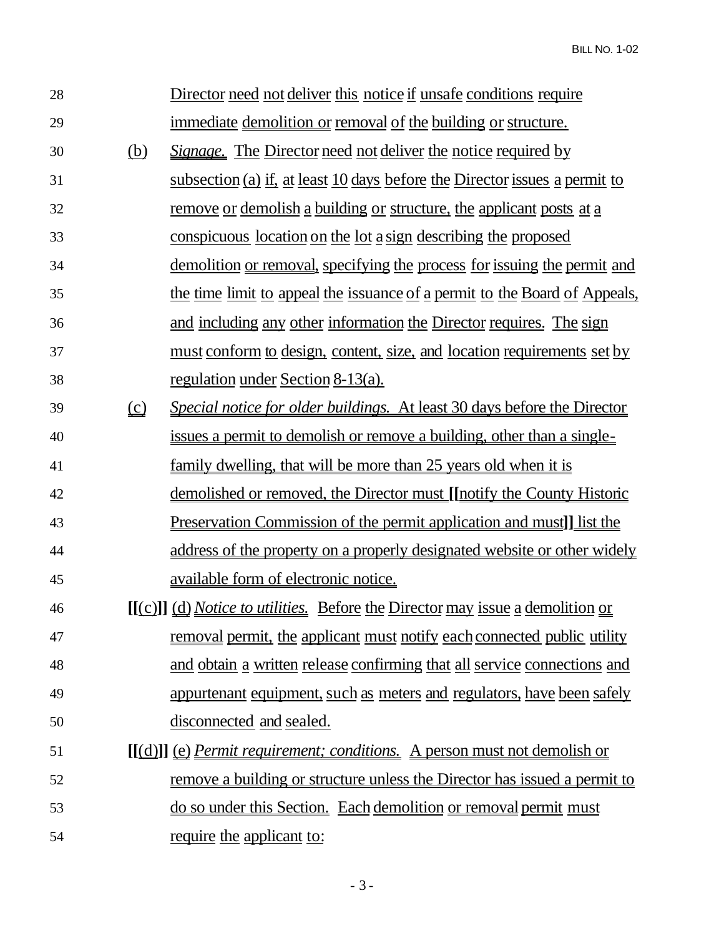**BILL NO. 1-02** 

| 28 |                               | Director need not deliver this notice if unsafe conditions require               |
|----|-------------------------------|----------------------------------------------------------------------------------|
| 29 |                               | <u>immediate demolition or removal of the building or structure.</u>             |
| 30 | <u>(b)</u>                    | <i>Signage.</i> The Director need not deliver the notice required by             |
| 31 |                               | subsection (a) if, at least 10 days before the Director issues a permit to       |
| 32 |                               | <u>remove or demolish a building or structure, the applicant posts at a</u>      |
| 33 |                               | <u>conspicuous location on the lot a sign describing the proposed</u>            |
| 34 |                               | <u>demolition or removal, specifying the process for issuing the permit and</u>  |
| 35 |                               | the time limit to appeal the issuance of a permit to the Board of Appeals,       |
| 36 |                               | and including any other information the Director requires. The sign              |
| 37 |                               | <u>must conform to design, content, size, and location requirements set by</u>   |
| 38 |                               | <u>regulation under Section 8-13(a).</u>                                         |
| 39 | $\underline{\underline{(c)}}$ | Special notice for older buildings. At least 30 days before the Director         |
| 40 |                               | <u>issues a permit to demolish or remove a building, other than a single-</u>    |
| 41 |                               | family dwelling, that will be more than 25 years old when it is                  |
| 42 |                               | <u>demolished or removed, the Director must [[notify the County Historic</u>     |
| 43 |                               | <u>Preservation Commission of the permit application and must]] list the</u>     |
| 44 |                               | address of the property on a properly designated website or other widely         |
| 45 |                               | available form of electronic notice.                                             |
| 46 |                               | [[(c)]] (d) Notice to utilities. Before the Director may issue a demolition or   |
| 47 |                               | <u>removal permit, the applicant must notify each connected public utility</u>   |
| 48 |                               | and obtain a written release confirming that all service connections and         |
| 49 |                               | appurtenant equipment, such as meters and regulators, have been safely           |
| 50 |                               | disconnected and sealed.                                                         |
| 51 |                               | <u>[[(d)]] (e) Permit requirement; conditions.</u> A person must not demolish or |
| 52 |                               | remove a building or structure unless the Director has issued a permit to        |
| 53 |                               | do so under this Section. Each demolition or removal permit must                 |
| 54 |                               | require the applicant to:                                                        |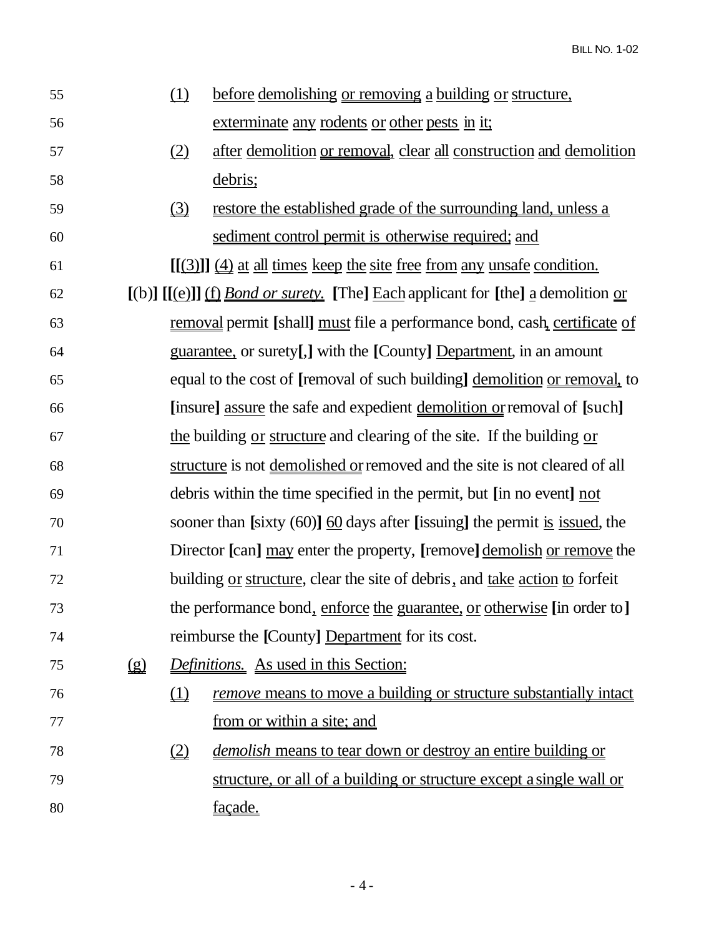| 55 |              | (1)                                   | before demolishing or removing a building or structure,                                     |
|----|--------------|---------------------------------------|---------------------------------------------------------------------------------------------|
| 56 |              |                                       | exterminate any rodents or other pests in it;                                               |
| 57 |              | (2)                                   | after demolition or removal, clear all construction and demolition                          |
| 58 |              |                                       | debris;                                                                                     |
| 59 |              | $\Omega$                              | restore the established grade of the surrounding land, unless a                             |
| 60 |              |                                       | sediment control permit is otherwise required; and                                          |
| 61 |              |                                       | $[(3)]$ $(4)$ at all times keep the site free from any unsafe condition.                    |
| 62 |              |                                       | $[(b)]$ $[(e)]$ $(f)$ <i>Bond or surety.</i> [The] Each applicant for [the] a demolition or |
| 63 |              |                                       | removal permit [shall] must file a performance bond, cash, certificate of                   |
| 64 |              |                                       | guarantee, or surety[,] with the [County] Department, in an amount                          |
| 65 |              |                                       | equal to the cost of [removal of such building] demolition or removal, to                   |
| 66 |              |                                       | [insure] assure the safe and expedient demolition or removal of [such]                      |
| 67 |              |                                       | the building or structure and clearing of the site. If the building or                      |
| 68 |              |                                       | structure is not demolished or removed and the site is not cleared of all                   |
| 69 |              |                                       | debris within the time specified in the permit, but [in no event] not                       |
| 70 |              |                                       | sooner than [sixty $(60)$ ] $\underline{60}$ days after [issuing] the permit is issued, the |
| 71 |              |                                       | Director [can] may enter the property, [remove] demolish or remove the                      |
| 72 |              |                                       | building <u>or structure</u> , clear the site of debris, and <u>take action</u> to forfeit  |
| 73 |              |                                       | the performance bond, enforce the guarantee, or otherwise [in order to]                     |
| 74 |              |                                       | reimburse the [County] Department for its cost.                                             |
| 75 | $\mathbf{Q}$ |                                       | Definitions. As used in this Section:                                                       |
| 76 |              | $\underline{\underline{1}}$           | <u>remove means to move a building or structure substantially intact</u>                    |
| 77 |              |                                       | <u>from or within a site; and</u>                                                           |
| 78 |              | $\underline{\underline{\mathcal{Q}}}$ | <i>demolish</i> means to tear down or destroy an entire building or                         |
| 79 |              |                                       | structure, or all of a building or structure except a single wall or                        |
| 80 |              |                                       | façade.                                                                                     |